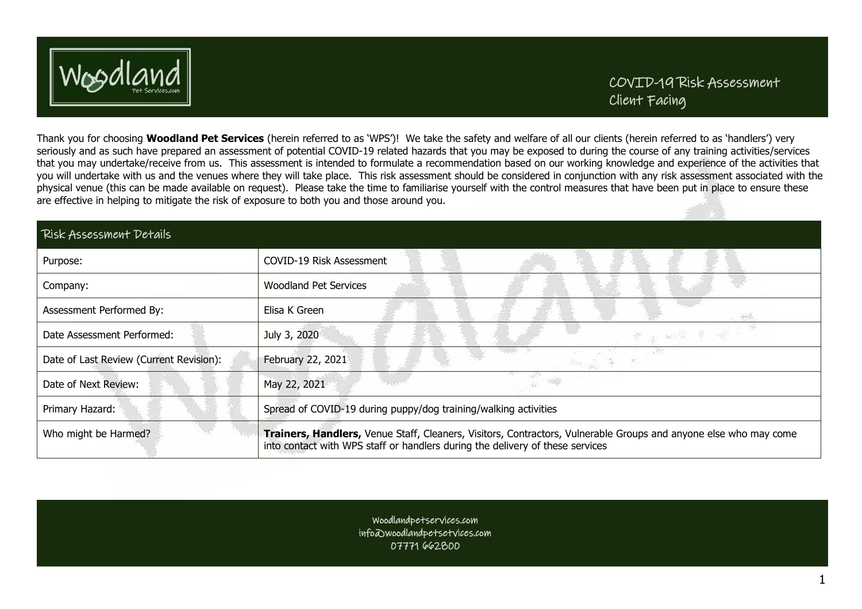

Thank you for choosing **Woodland Pet Services** (herein referred to as 'WPS')! We take the safety and welfare of all our clients (herein referred to as 'handlers') very seriously and as such have prepared an assessment of potential COVID-19 related hazards that you may be exposed to during the course of any training activities/services that you may undertake/receive from us. This assessment is intended to formulate a recommendation based on our working knowledge and experience of the activities that you will undertake with us and the venues where they will take place. This risk assessment should be considered in conjunction with any risk assessment associated with the physical venue (this can be made available on request). Please take the time to familiarise yourself with the control measures that have been put in place to ensure these are effective in helping to mitigate the risk of exposure to both you and those around you.

| <b>Risk Assessment Details</b>          |                                                                                                                                                                                                   |
|-----------------------------------------|---------------------------------------------------------------------------------------------------------------------------------------------------------------------------------------------------|
| Purpose:                                | COVID-19 Risk Assessment                                                                                                                                                                          |
| Company:                                | <b>Woodland Pet Services</b>                                                                                                                                                                      |
| Assessment Performed By:                | Elisa K Green                                                                                                                                                                                     |
| Date Assessment Performed:              | July 3, 2020<br>心雷                                                                                                                                                                                |
| Date of Last Review (Current Revision): | February 22, 2021                                                                                                                                                                                 |
| Date of Next Review:                    | May 22, 2021                                                                                                                                                                                      |
| Primary Hazard:                         | Spread of COVID-19 during puppy/dog training/walking activities                                                                                                                                   |
| Who might be Harmed?                    | Trainers, Handlers, Venue Staff, Cleaners, Visitors, Contractors, Vulnerable Groups and anyone else who may come<br>into contact with WPS staff or handlers during the delivery of these services |

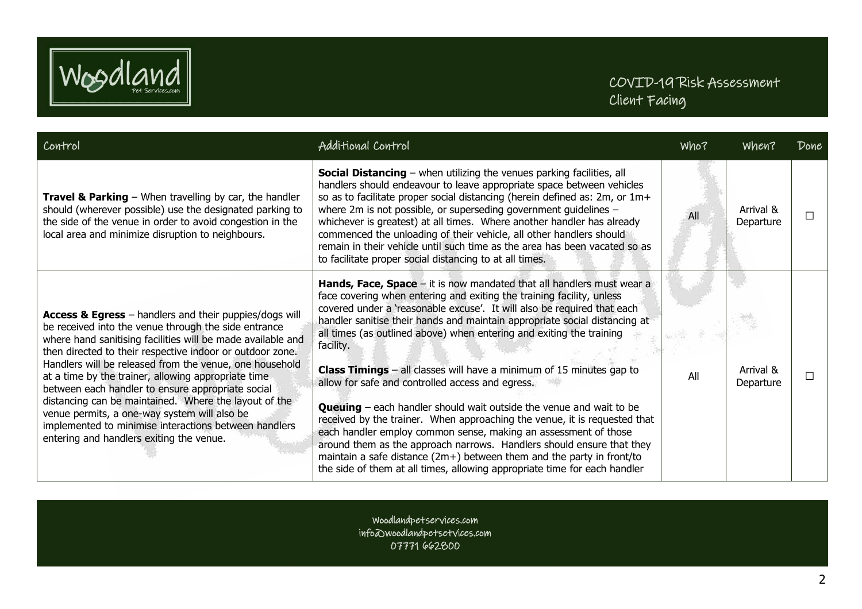

| Control                                                                                                                                                                                                                                                                                                                                                                                                                                                                                                                                                                                                                         | Additional Control                                                                                                                                                                                                                                                                                                                                                                                                                                                                                                                                                                                                                                                                                                                                                                                                                                                                                                                                                                                 | Who? | When?                  | Done |
|---------------------------------------------------------------------------------------------------------------------------------------------------------------------------------------------------------------------------------------------------------------------------------------------------------------------------------------------------------------------------------------------------------------------------------------------------------------------------------------------------------------------------------------------------------------------------------------------------------------------------------|----------------------------------------------------------------------------------------------------------------------------------------------------------------------------------------------------------------------------------------------------------------------------------------------------------------------------------------------------------------------------------------------------------------------------------------------------------------------------------------------------------------------------------------------------------------------------------------------------------------------------------------------------------------------------------------------------------------------------------------------------------------------------------------------------------------------------------------------------------------------------------------------------------------------------------------------------------------------------------------------------|------|------------------------|------|
| <b>Travel &amp; Parking</b> $-$ When travelling by car, the handler<br>should (wherever possible) use the designated parking to<br>the side of the venue in order to avoid congestion in the<br>local area and minimize disruption to neighbours.                                                                                                                                                                                                                                                                                                                                                                               | <b>Social Distancing</b> – when utilizing the venues parking facilities, all<br>handlers should endeavour to leave appropriate space between vehicles<br>so as to facilitate proper social distancing (herein defined as: 2m, or 1m+<br>where 2 $m$ is not possible, or superseding government guidelines $-$<br>whichever is greatest) at all times. Where another handler has already<br>commenced the unloading of their vehicle, all other handlers should<br>remain in their vehicle until such time as the area has been vacated so as<br>to facilitate proper social distancing to at all times.                                                                                                                                                                                                                                                                                                                                                                                            | All  | Arrival &<br>Departure |      |
| Access & Egress - handlers and their puppies/dogs will<br>be received into the venue through the side entrance<br>where hand sanitising facilities will be made available and<br>then directed to their respective indoor or outdoor zone.<br>Handlers will be released from the venue, one household<br>at a time by the trainer, allowing appropriate time<br>between each handler to ensure appropriate social<br>distancing can be maintained. Where the layout of the<br>venue permits, a one-way system will also be<br>implemented to minimise interactions between handlers<br>entering and handlers exiting the venue. | Hands, Face, Space – it is now mandated that all handlers must wear a<br>face covering when entering and exiting the training facility, unless<br>covered under a 'reasonable excuse'. It will also be required that each<br>handler sanitise their hands and maintain appropriate social distancing at<br>all times (as outlined above) when entering and exiting the training<br>facility.<br><b>Class Timings</b> $-$ all classes will have a minimum of 15 minutes gap to<br>allow for safe and controlled access and egress.<br><b>Queuing</b> $-$ each handler should wait outside the venue and wait to be<br>received by the trainer. When approaching the venue, it is requested that<br>each handler employ common sense, making an assessment of those<br>around them as the approach narrows. Handlers should ensure that they<br>maintain a safe distance $(2m+)$ between them and the party in front/to<br>the side of them at all times, allowing appropriate time for each handler | All  | Arrival &<br>Departure |      |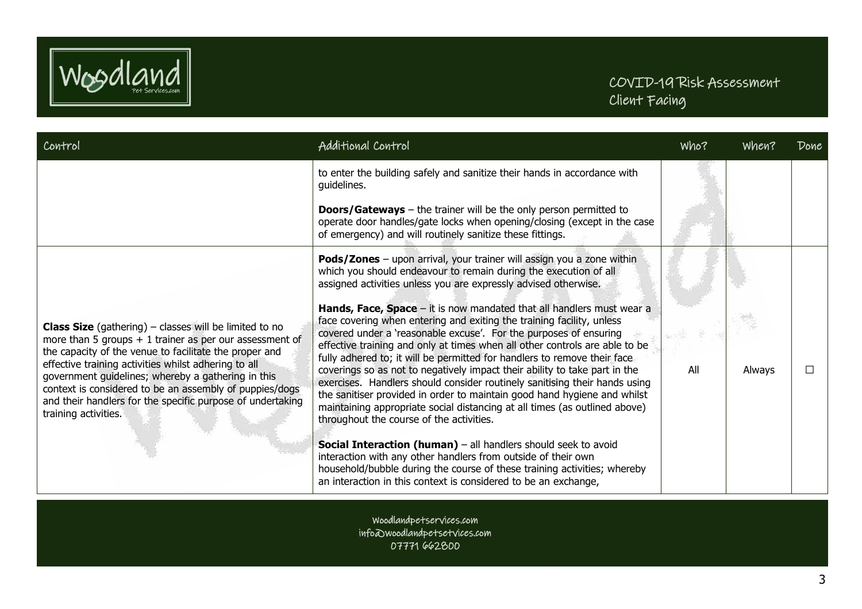

| Control                                                                                                                                                                                                                                                                                                                                                                                                                                              | Additional Control                                                                                                                                                                                                                                                                                                                                                                                                                                                                                                                                                                                                                                                                                                                               | Who? | when?  | Done |
|------------------------------------------------------------------------------------------------------------------------------------------------------------------------------------------------------------------------------------------------------------------------------------------------------------------------------------------------------------------------------------------------------------------------------------------------------|--------------------------------------------------------------------------------------------------------------------------------------------------------------------------------------------------------------------------------------------------------------------------------------------------------------------------------------------------------------------------------------------------------------------------------------------------------------------------------------------------------------------------------------------------------------------------------------------------------------------------------------------------------------------------------------------------------------------------------------------------|------|--------|------|
|                                                                                                                                                                                                                                                                                                                                                                                                                                                      | to enter the building safely and sanitize their hands in accordance with<br>guidelines.                                                                                                                                                                                                                                                                                                                                                                                                                                                                                                                                                                                                                                                          |      |        |      |
|                                                                                                                                                                                                                                                                                                                                                                                                                                                      | <b>Doors/Gateways</b> – the trainer will be the only person permitted to<br>operate door handles/gate locks when opening/closing (except in the case<br>of emergency) and will routinely sanitize these fittings.                                                                                                                                                                                                                                                                                                                                                                                                                                                                                                                                |      |        |      |
|                                                                                                                                                                                                                                                                                                                                                                                                                                                      | Pods/Zones - upon arrival, your trainer will assign you a zone within<br>which you should endeavour to remain during the execution of all<br>assigned activities unless you are expressly advised otherwise.                                                                                                                                                                                                                                                                                                                                                                                                                                                                                                                                     |      |        |      |
| <b>Class Size</b> (gathering) $-$ classes will be limited to no<br>more than 5 groups $+1$ trainer as per our assessment of<br>the capacity of the venue to facilitate the proper and<br>effective training activities whilst adhering to all<br>government guidelines; whereby a gathering in this<br>context is considered to be an assembly of puppies/dogs<br>and their handlers for the specific purpose of undertaking<br>training activities. | Hands, Face, Space - it is now mandated that all handlers must wear a<br>face covering when entering and exiting the training facility, unless<br>covered under a 'reasonable excuse'. For the purposes of ensuring<br>effective training and only at times when all other controls are able to be<br>fully adhered to; it will be permitted for handlers to remove their face<br>coverings so as not to negatively impact their ability to take part in the<br>exercises. Handlers should consider routinely sanitising their hands using<br>the sanitiser provided in order to maintain good hand hygiene and whilst<br>maintaining appropriate social distancing at all times (as outlined above)<br>throughout the course of the activities. | All  | Always |      |
|                                                                                                                                                                                                                                                                                                                                                                                                                                                      | Social Interaction (human) - all handlers should seek to avoid<br>interaction with any other handlers from outside of their own<br>household/bubble during the course of these training activities; whereby<br>an interaction in this context is considered to be an exchange,                                                                                                                                                                                                                                                                                                                                                                                                                                                                   |      |        |      |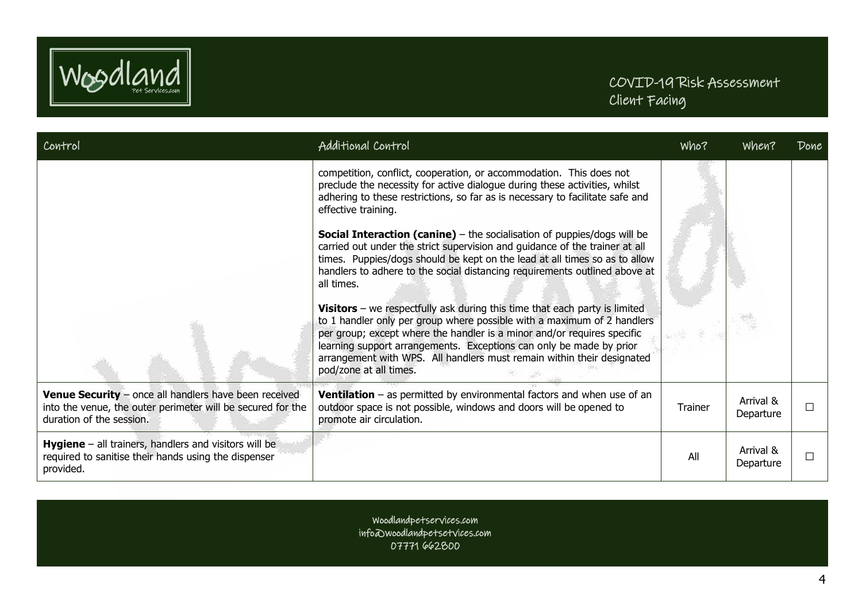

| Control                                                                                                                                                 | Additional Control                                                                                                                                                                                                                                                                                                                                                                                                                                                                                                                                                                     | Who?    | When?                  | Done |
|---------------------------------------------------------------------------------------------------------------------------------------------------------|----------------------------------------------------------------------------------------------------------------------------------------------------------------------------------------------------------------------------------------------------------------------------------------------------------------------------------------------------------------------------------------------------------------------------------------------------------------------------------------------------------------------------------------------------------------------------------------|---------|------------------------|------|
|                                                                                                                                                         | competition, conflict, cooperation, or accommodation. This does not<br>preclude the necessity for active dialogue during these activities, whilst<br>adhering to these restrictions, so far as is necessary to facilitate safe and<br>effective training.<br><b>Social Interaction (canine)</b> – the socialisation of puppies/dogs will be<br>carried out under the strict supervision and guidance of the trainer at all<br>times. Puppies/dogs should be kept on the lead at all times so as to allow<br>handlers to adhere to the social distancing requirements outlined above at |         |                        |      |
|                                                                                                                                                         | all times.                                                                                                                                                                                                                                                                                                                                                                                                                                                                                                                                                                             |         |                        |      |
|                                                                                                                                                         | <b>Visitors</b> – we respectfully ask during this time that each party is limited<br>to 1 handler only per group where possible with a maximum of 2 handlers<br>per group; except where the handler is a minor and/or requires specific<br>learning support arrangements. Exceptions can only be made by prior<br>arrangement with WPS. All handlers must remain within their designated<br>pod/zone at all times.                                                                                                                                                                     |         |                        |      |
| <b>Venue Security</b> - once all handlers have been received<br>into the venue, the outer perimeter will be secured for the<br>duration of the session. | <b>Ventilation</b> $-$ as permitted by environmental factors and when use of an<br>outdoor space is not possible, windows and doors will be opened to<br>promote air circulation.                                                                                                                                                                                                                                                                                                                                                                                                      | Trainer | Arrival &<br>Departure |      |
| <b>Hygiene</b> $-$ all trainers, handlers and visitors will be<br>required to sanitise their hands using the dispenser<br>provided.                     |                                                                                                                                                                                                                                                                                                                                                                                                                                                                                                                                                                                        | All     | Arrival &<br>Departure |      |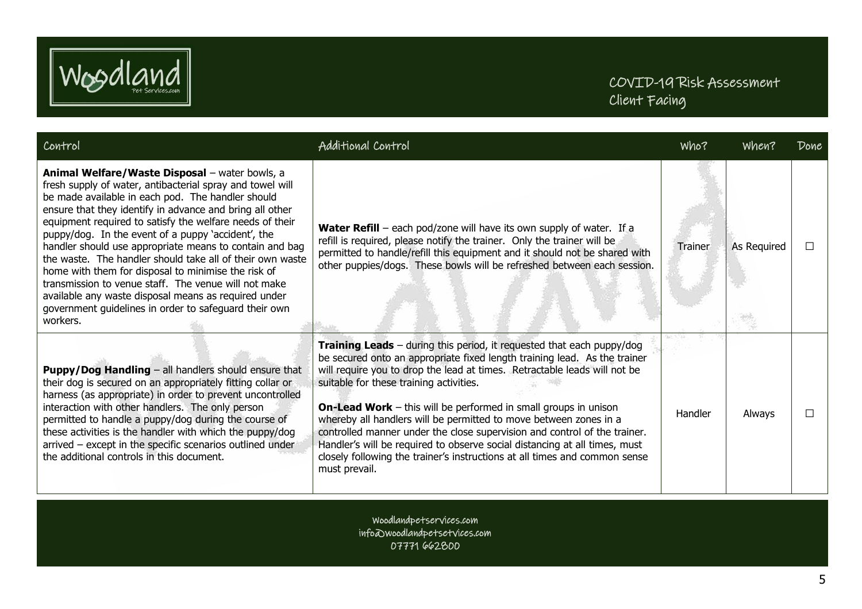

| Control                                                                                                                                                                                                                                                                                                                                                                                                                                                                                                                                                                                                                                                                                                            | Additional Control                                                                                                                                                                                                                                                                                                                                                                                                                                                                                                                                                                                                                                                                  | Who?    | when?       | Done |
|--------------------------------------------------------------------------------------------------------------------------------------------------------------------------------------------------------------------------------------------------------------------------------------------------------------------------------------------------------------------------------------------------------------------------------------------------------------------------------------------------------------------------------------------------------------------------------------------------------------------------------------------------------------------------------------------------------------------|-------------------------------------------------------------------------------------------------------------------------------------------------------------------------------------------------------------------------------------------------------------------------------------------------------------------------------------------------------------------------------------------------------------------------------------------------------------------------------------------------------------------------------------------------------------------------------------------------------------------------------------------------------------------------------------|---------|-------------|------|
| Animal Welfare/Waste Disposal - water bowls, a<br>fresh supply of water, antibacterial spray and towel will<br>be made available in each pod. The handler should<br>ensure that they identify in advance and bring all other<br>equipment required to satisfy the welfare needs of their<br>puppy/dog. In the event of a puppy 'accident', the<br>handler should use appropriate means to contain and bag<br>the waste. The handler should take all of their own waste<br>home with them for disposal to minimise the risk of<br>transmission to venue staff. The venue will not make<br>available any waste disposal means as required under<br>government guidelines in order to safeguard their own<br>workers. | <b>Water Refill</b> – each pod/zone will have its own supply of water. If a<br>refill is required, please notify the trainer. Only the trainer will be<br>permitted to handle/refill this equipment and it should not be shared with<br>other puppies/dogs. These bowls will be refreshed between each session.                                                                                                                                                                                                                                                                                                                                                                     | Trainer | As Required |      |
| Puppy/Dog Handling - all handlers should ensure that<br>their dog is secured on an appropriately fitting collar or<br>harness (as appropriate) in order to prevent uncontrolled<br>interaction with other handlers. The only person<br>permitted to handle a puppy/dog during the course of<br>these activities is the handler with which the puppy/dog<br>arrived - except in the specific scenarios outlined under<br>the additional controls in this document.                                                                                                                                                                                                                                                  | Training Leads - during this period, it requested that each puppy/dog<br>be secured onto an appropriate fixed length training lead. As the trainer<br>will require you to drop the lead at times. Retractable leads will not be<br>suitable for these training activities.<br><b>On-Lead Work</b> – this will be performed in small groups in unison<br>whereby all handlers will be permitted to move between zones in a<br>controlled manner under the close supervision and control of the trainer.<br>Handler's will be required to observe social distancing at all times, must<br>closely following the trainer's instructions at all times and common sense<br>must prevail. | Handler | Always      |      |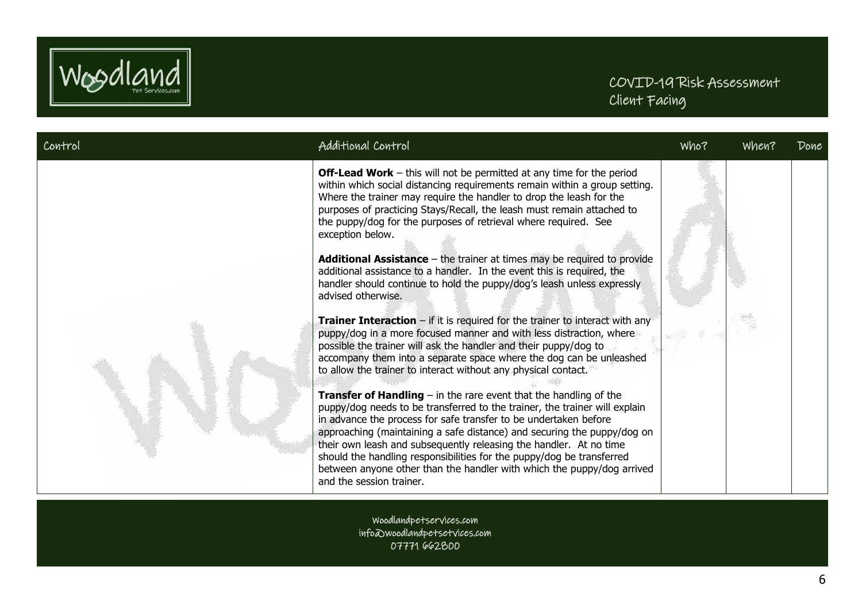

| Control | Additional Control                                                                                                                                                                                                                                                                                                                                                                                                                                                                                                                                                                                                                                                                                                                                                                                                                                                                                                                                                                                                                 | Who? | when? | Done |
|---------|------------------------------------------------------------------------------------------------------------------------------------------------------------------------------------------------------------------------------------------------------------------------------------------------------------------------------------------------------------------------------------------------------------------------------------------------------------------------------------------------------------------------------------------------------------------------------------------------------------------------------------------------------------------------------------------------------------------------------------------------------------------------------------------------------------------------------------------------------------------------------------------------------------------------------------------------------------------------------------------------------------------------------------|------|-------|------|
|         | <b>Off-Lead Work</b> – this will not be permitted at any time for the period<br>within which social distancing requirements remain within a group setting.<br>Where the trainer may require the handler to drop the leash for the<br>purposes of practicing Stays/Recall, the leash must remain attached to<br>the puppy/dog for the purposes of retrieval where required. See<br>exception below.<br>Additional Assistance - the trainer at times may be required to provide<br>additional assistance to a handler. In the event this is required, the<br>handler should continue to hold the puppy/dog's leash unless expressly<br>advised otherwise.<br><b>Trainer Interaction</b> – if it is required for the trainer to interact with any<br>puppy/dog in a more focused manner and with less distraction, where<br>possible the trainer will ask the handler and their puppy/dog to<br>accompany them into a separate space where the dog can be unleashed<br>to allow the trainer to interact without any physical contact. |      |       |      |
|         | <b>Transfer of Handling</b> $-$ in the rare event that the handling of the<br>puppy/dog needs to be transferred to the trainer, the trainer will explain<br>in advance the process for safe transfer to be undertaken before<br>approaching (maintaining a safe distance) and securing the puppy/dog on<br>their own leash and subsequently releasing the handler. At no time<br>should the handling responsibilities for the puppy/dog be transferred<br>between anyone other than the handler with which the puppy/dog arrived<br>and the session trainer.                                                                                                                                                                                                                                                                                                                                                                                                                                                                       |      |       |      |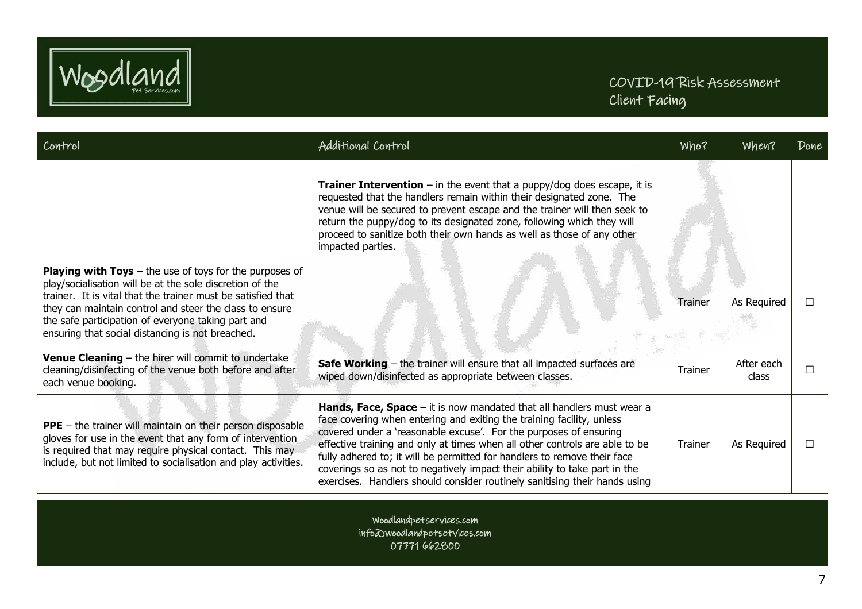

| Control                                                                                                                                                                                                                                                                                                                                                           | Additional Control                                                                                                                                                                                                                                                                                                                                                                                                                                                                                                                         | Who?           | when?               | Done |
|-------------------------------------------------------------------------------------------------------------------------------------------------------------------------------------------------------------------------------------------------------------------------------------------------------------------------------------------------------------------|--------------------------------------------------------------------------------------------------------------------------------------------------------------------------------------------------------------------------------------------------------------------------------------------------------------------------------------------------------------------------------------------------------------------------------------------------------------------------------------------------------------------------------------------|----------------|---------------------|------|
|                                                                                                                                                                                                                                                                                                                                                                   | <b>Trainer Intervention</b> – in the event that a puppy/dog does escape, it is<br>requested that the handlers remain within their designated zone. The<br>venue will be secured to prevent escape and the trainer will then seek to<br>return the puppy/dog to its designated zone, following which they will<br>proceed to sanitize both their own hands as well as those of any other<br>impacted parties.                                                                                                                               |                |                     |      |
| <b>Playing with Toys</b> $-$ the use of toys for the purposes of<br>play/socialisation will be at the sole discretion of the<br>trainer. It is vital that the trainer must be satisfied that<br>they can maintain control and steer the class to ensure<br>the safe participation of everyone taking part and<br>ensuring that social distancing is not breached. |                                                                                                                                                                                                                                                                                                                                                                                                                                                                                                                                            | Trainer        | As Required         |      |
| Venue Cleaning - the hirer will commit to undertake<br>cleaning/disinfecting of the venue both before and after<br>each venue booking.                                                                                                                                                                                                                            | Safe Working - the trainer will ensure that all impacted surfaces are<br>wiped down/disinfected as appropriate between classes.                                                                                                                                                                                                                                                                                                                                                                                                            | <b>Trainer</b> | After each<br>class |      |
| <b>PPE</b> - the trainer will maintain on their person disposable<br>gloves for use in the event that any form of intervention<br>is required that may require physical contact. This may<br>include, but not limited to socialisation and play activities.                                                                                                       | Hands, Face, Space - it is now mandated that all handlers must wear a<br>face covering when entering and exiting the training facility, unless<br>covered under a 'reasonable excuse'. For the purposes of ensuring<br>effective training and only at times when all other controls are able to be<br>fully adhered to; it will be permitted for handlers to remove their face<br>coverings so as not to negatively impact their ability to take part in the<br>exercises. Handlers should consider routinely sanitising their hands using | <b>Trainer</b> | As Required         |      |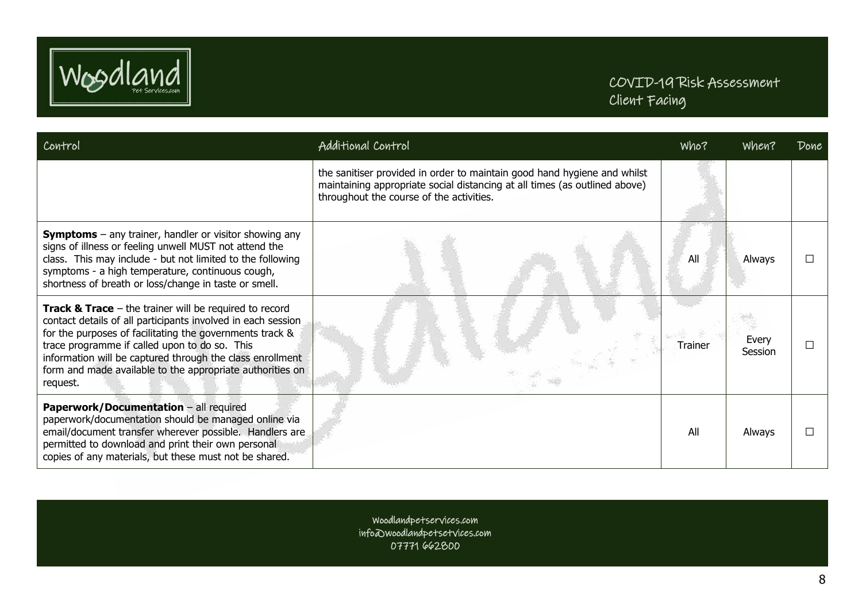

| Control                                                                                                                                                                                                                                                                                                                                                                                | Additional Control                                                                                                                                                                                 | Who?    | when?            | Done |
|----------------------------------------------------------------------------------------------------------------------------------------------------------------------------------------------------------------------------------------------------------------------------------------------------------------------------------------------------------------------------------------|----------------------------------------------------------------------------------------------------------------------------------------------------------------------------------------------------|---------|------------------|------|
|                                                                                                                                                                                                                                                                                                                                                                                        | the sanitiser provided in order to maintain good hand hygiene and whilst<br>maintaining appropriate social distancing at all times (as outlined above)<br>throughout the course of the activities. |         |                  |      |
| <b>Symptoms</b> $-$ any trainer, handler or visitor showing any<br>signs of illness or feeling unwell MUST not attend the<br>class. This may include - but not limited to the following<br>symptoms - a high temperature, continuous cough,<br>shortness of breath or loss/change in taste or smell.                                                                                   |                                                                                                                                                                                                    | All     | Always           |      |
| <b>Track &amp; Trace</b> $-$ the trainer will be required to record<br>contact details of all participants involved in each session<br>for the purposes of facilitating the governments track &<br>trace programme if called upon to do so. This<br>information will be captured through the class enrollment<br>form and made available to the appropriate authorities on<br>request. |                                                                                                                                                                                                    | Trainer | Every<br>Session |      |
| <b>Paperwork/Documentation - all required</b><br>paperwork/documentation should be managed online via<br>email/document transfer wherever possible. Handlers are<br>permitted to download and print their own personal<br>copies of any materials, but these must not be shared.                                                                                                       |                                                                                                                                                                                                    | All     | Always           |      |